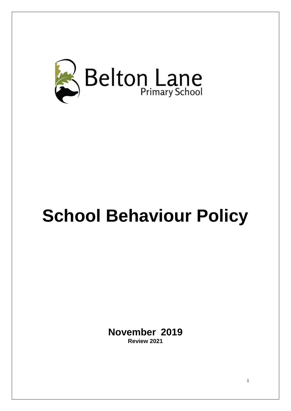

# **School Behaviour Policy**

**November 2019 Review 2021**

1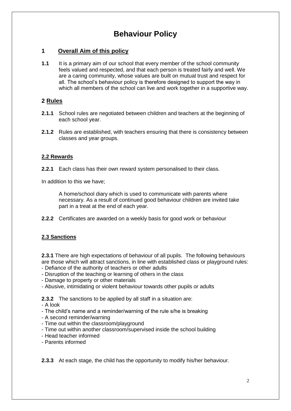# **Behaviour Policy**

# **1 Overall Aim of this policy**

**1.1** It is a primary aim of our school that every member of the school community feels valued and respected, and that each person is treated fairly and well. We are a caring community, whose values are built on mutual trust and respect for all. The school's behaviour policy is therefore designed to support the way in which all members of the school can live and work together in a supportive way.

#### **2 Rules**

- **2.1.1** School rules are negotiated between children and teachers at the beginning of each school year.
- **2.1.2** Rules are established, with teachers ensuring that there is consistency between classes and year groups.

#### **2.2 Rewards**

**2.2.1** Each class has their own reward system personalised to their class.

In addition to this we have;

A home/school diary which is used to communicate with parents where necessary. As a result of continued good behaviour children are invited take part in a treat at the end of each year.

**2.2.2** Certificates are awarded on a weekly basis for good work or behaviour

#### **2.3 Sanctions**

**2.3.1** There are high expectations of behaviour of all pupils. The following behaviours are those which will attract sanctions, in line with established class or playground rules:

- Defiance of the authority of teachers or other adults
- Disruption of the teaching or learning of others in the class
- Damage to property or other materials
- Abusive, intimidating or violent behaviour towards other pupils or adults

**2.3.2** The sanctions to be applied by all staff in a situation are:

- A look

- The child's name and a reminder/warning of the rule s/he is breaking
- A second reminder/warning
- Time out within the classroom/playground
- Time out within another classroom/supervised inside the school building
- Head teacher informed
- Parents informed

#### **2.3.3** At each stage, the child has the opportunity to modify his/her behaviour.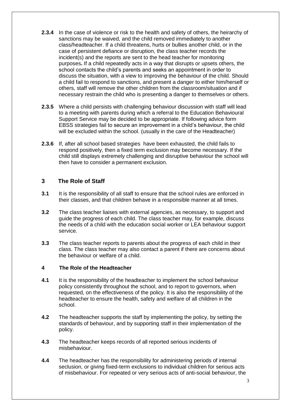- **2.3.4** In the case of violence or risk to the health and safety of others, the heirarchy of sanctions may be waived, and the child removed immediately to another class/headteacher. If a child threatens, hurts or bullies another child, or in the case of persistent defiance or disruption, the class teacher records the incident(s) and the reports are sent to the head teacher for monitoring purposes**.** If a child repeatedly acts in a way that disrupts or upsets others, the school contacts the child's parents and seeks an appointment in order to discuss the situation, with a view to improving the behaviour of the child. Should a child fail to respond to sanctions, and present a danger to either him/herself or others, staff will remove the other children from the classroom/situation and if necessary restrain the child who is presenting a danger to themselves or others.
- **2.3.5** Where a child persists with challenging behaviour discussion with staff will lead to a meeting with parents during which a referral to the Education Behavioural Support Service may be decided to be appropriate. If following advice form EBSS strategies fail to secure an improvement in a child's behaviour, the child will be excluded within the school. (usually in the care of the Headteacher)
- **2.3.6** If, after all school based strategies have been exhausted, the child fails to respond positively, then a fixed term exclusion may become necessary. If the child still displays extremely challenging and disruptive behaviour the school will then have to consider a permanent exclusion.

# **3 The Role of Staff**

- **3.1** It is the responsibility of all staff to ensure that the school rules are enforced in their classes, and that children behave in a responsible manner at all times.
- **3.2** The class teacher liaises with external agencies, as necessary, to support and guide the progress of each child. The class teacher may, for example, discuss the needs of a child with the education social worker or LEA behaviour support service.
- **3.3** The class teacher reports to parents about the progress of each child in their class. The class teacher may also contact a parent if there are concerns about the behaviour or welfare of a child.

#### **4 The Role of the Headteacher**

- **4.1** It is the responsibility of the headteacher to implement the school behaviour policy consistently throughout the school, and to report to governors, when requested, on the effectiveness of the policy. It is also the responsibility of the headteacher to ensure the health, safety and welfare of all children in the school.
- **4.2** The headteacher supports the staff by implementing the policy, by setting the standards of behaviour, and by supporting staff in their implementation of the policy.
- **4.3** The headteacher keeps records of all reported serious incidents of misbehaviour.
- **4.4** The headteacher has the responsibility for administering periods of internal seclusion, or giving fixed-term exclusions to individual children for serious acts of misbehaviour. For repeated or very serious acts of anti-social behaviour, the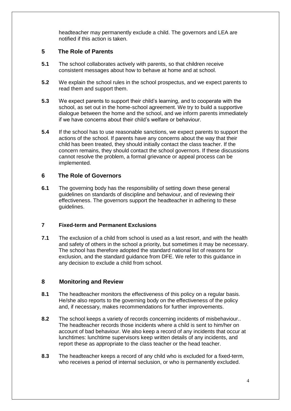headteacher may permanently exclude a child. The governors and LEA are notified if this action is taken.

# **5 The Role of Parents**

- **5.1** The school collaborates actively with parents, so that children receive consistent messages about how to behave at home and at school.
- **5.2** We explain the school rules in the school prospectus, and we expect parents to read them and support them.
- **5.3** We expect parents to support their child's learning, and to cooperate with the school, as set out in the home-school agreement. We try to build a supportive dialogue between the home and the school, and we inform parents immediately if we have concerns about their child's welfare or behaviour.
- **5.4** If the school has to use reasonable sanctions, we expect parents to support the actions of the school. If parents have any concerns about the way that their child has been treated, they should initially contact the class teacher. If the concern remains, they should contact the school governors. If these discussions cannot resolve the problem, a formal grievance or appeal process can be implemented.

# **6 The Role of Governors**

**6.1** The governing body has the responsibility of setting down these general guidelines on standards of discipline and behaviour, and of reviewing their effectiveness. The governors support the headteacher in adhering to these guidelines.

# **7 Fixed-term and Permanent Exclusions**

**7.1** The exclusion of a child from school is used as a last resort, and with the health and safety of others in the school a priority, but sometimes it may be necessary. The school has therefore adopted the standard national list of reasons for exclusion, and the standard guidance from DFE. We refer to this guidance in any decision to exclude a child from school.

# **8 Monitoring and Review**

- **8.1** The headteacher monitors the effectiveness of this policy on a regular basis. He/she also reports to the governing body on the effectiveness of the policy and, if necessary, makes recommendations for further improvements.
- **8.2** The school keeps a variety of records concerning incidents of misbehaviour.. The headteacher records those incidents where a child is sent to him/her on account of bad behaviour. We also keep a record of any incidents that occur at lunchtimes: lunchtime supervisors keep written details of any incidents, and report these as appropriate to the class teacher or the head teacher.
- **8.3** The headteacher keeps a record of any child who is excluded for a fixed-term, who receives a period of internal seclusion, or who is permanently excluded.